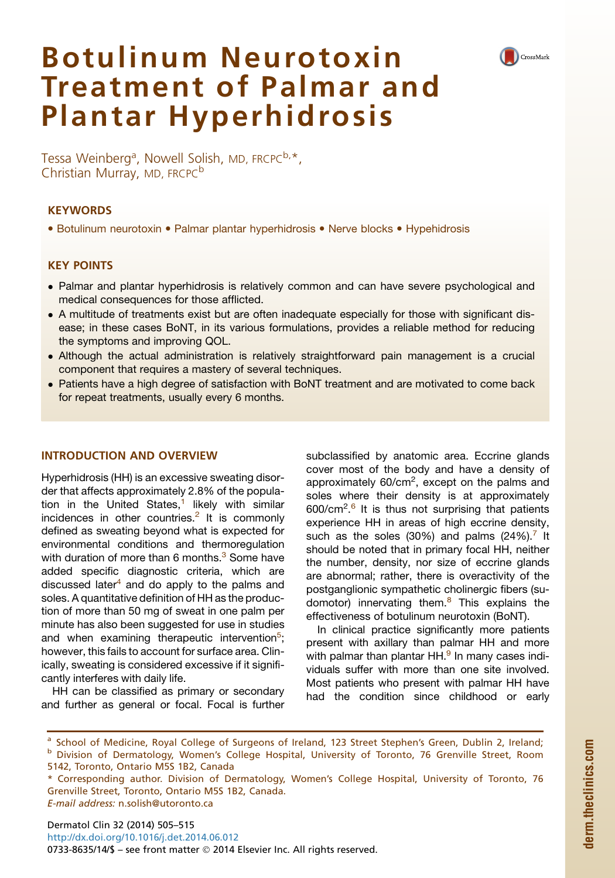

# Botulinum Neurotoxin Treatment of Palmar and Plantar Hyperhidrosis

Tessa weinberg<sup>e</sup><br>Christian Murrav Tessa Weinberg<sup>a</sup>, Nowell Solish, MD, FRCPC<sup>b,\*</sup>, Christian Murray, MD, FRCPCb

# **KEYWORDS**

• Botulinum neurotoxin • Palmar plantar hyperhidrosis • Nerve blocks • Hypehidrosis

# KEY POINTS

- Palmar and plantar hyperhidrosis is relatively common and can have severe psychological and medical consequences for those afflicted.
- A multitude of treatments exist but are often inadequate especially for those with significant disease; in these cases BoNT, in its various formulations, provides a reliable method for reducing the symptoms and improving QOL.
- Although the actual administration is relatively straightforward pain management is a crucial component that requires a mastery of several techniques.
- Patients have a high degree of satisfaction with BoNT treatment and are motivated to come back for repeat treatments, usually every 6 months.

# INTRODUCTION AND OVERVIEW

Hyperhidrosis (HH) is an excessive sweating disorder that affects approximately 2.8% of the population in the United States,<sup>1</sup> likely with similar incidences in other countries. $<sup>2</sup>$  $<sup>2</sup>$  $<sup>2</sup>$  It is commonly</sup> defined as sweating beyond what is expected for environmental conditions and thermoregulation with duration of more than 6 months. $3$  Some have added specific diagnostic criteria, which are discussed later<sup>[4](#page-9-0)</sup> and do apply to the palms and soles. A quantitative definition of HH as the production of more than 50 mg of sweat in one palm per minute has also been suggested for use in studies and when examining therapeutic intervention<sup>[5](#page-9-0)</sup>; however, this fails to account for surface area. Clinically, sweating is considered excessive if it significantly interferes with daily life.

HH can be classified as primary or secondary and further as general or focal. Focal is further subclassified by anatomic area. Eccrine glands cover most of the body and have a density of approximately  $60/cm^2$ , except on the palms and soles where their density is at approximately [6](#page-9-0)00/cm<sup>2</sup>.<sup>6</sup> It is thus not surprising that patients experience HH in areas of high eccrine density, such as the soles (30%) and palms  $(24\%)$ .<sup>[7](#page-9-0)</sup> It should be noted that in primary focal HH, neither the number, density, nor size of eccrine glands are abnormal; rather, there is overactivity of the postganglionic sympathetic cholinergic fibers (sudomotor) innervating them. $8$  This explains the effectiveness of botulinum neurotoxin (BoNT).

In clinical practice significantly more patients present with axillary than palmar HH and more with palmar than plantar HH.<sup>[9](#page-9-0)</sup> In many cases individuals suffer with more than one site involved. Most patients who present with palmar HH have had the condition since childhood or early

<sup>&</sup>lt;sup>a</sup> School of Medicine, Royal College of Surgeons of Ireland, 123 Street Stephen's Green, Dublin 2, Ireland; b Division of Dermatology, Women's College Hospital, University of Toronto, 76 Grenville Street, Room 5142, Toronto, Ontario M5S 1B2, Canada

<sup>\*</sup> Corresponding author. Division of Dermatology, Women's College Hospital, University of Toronto, 76 Grenville Street, Toronto, Ontario M5S 1B2, Canada. E-mail address: [n.solish@utoronto.ca](mailto:n.solish@utoronto.ca)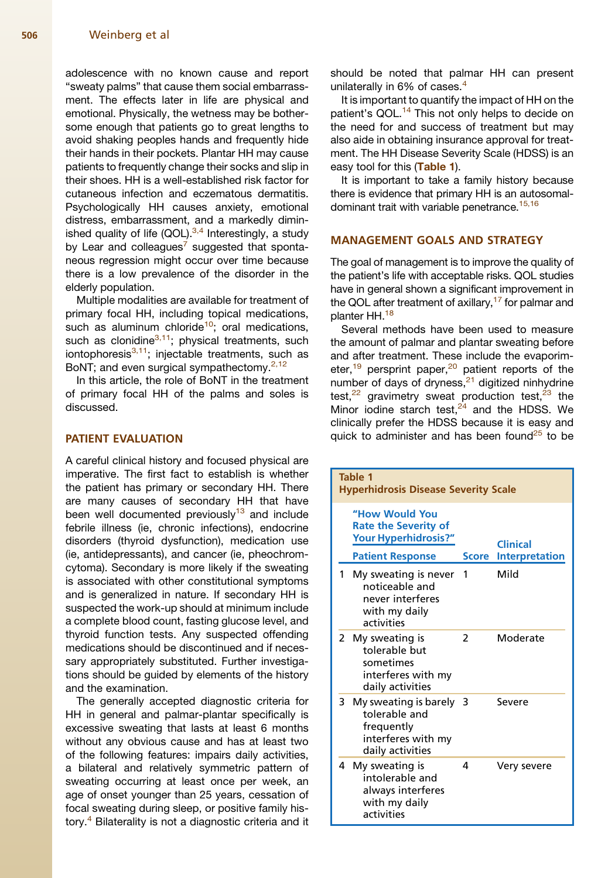adolescence with no known cause and report "sweaty palms" that cause them social embarrassment. The effects later in life are physical and emotional. Physically, the wetness may be bothersome enough that patients go to great lengths to avoid shaking peoples hands and frequently hide their hands in their pockets. Plantar HH may cause patients to frequently change their socks and slip in their shoes. HH is a well-established risk factor for cutaneous infection and eczematous dermatitis. Psychologically HH causes anxiety, emotional distress, embarrassment, and a markedly dimin-ished quality of life (QOL).<sup>[3,4](#page-9-0)</sup> Interestingly, a study by Lear and colleagues $^7$  suggested that spontaneous regression might occur over time because there is a low prevalence of the disorder in the elderly population.

Multiple modalities are available for treatment of primary focal HH, including topical medications, such as aluminum chloride<sup>10</sup>; oral medications, such as clonidine<sup>3,11</sup>; physical treatments, such iontophoresis<sup>3,11</sup>; injectable treatments, such as BoNT; and even surgical sympathectomy. $2,12$ 

In this article, the role of BoNT in the treatment of primary focal HH of the palms and soles is discussed.

#### PATIENT EVALUATION

A careful clinical history and focused physical are imperative. The first fact to establish is whether the patient has primary or secondary HH. There are many causes of secondary HH that have been well documented previously<sup>[13](#page-9-0)</sup> and include febrile illness (ie, chronic infections), endocrine disorders (thyroid dysfunction), medication use (ie, antidepressants), and cancer (ie, pheochromcytoma). Secondary is more likely if the sweating is associated with other constitutional symptoms and is generalized in nature. If secondary HH is suspected the work-up should at minimum include a complete blood count, fasting glucose level, and thyroid function tests. Any suspected offending medications should be discontinued and if necessary appropriately substituted. Further investigations should be guided by elements of the history and the examination.

The generally accepted diagnostic criteria for HH in general and palmar-plantar specifically is excessive sweating that lasts at least 6 months without any obvious cause and has at least two of the following features: impairs daily activities, a bilateral and relatively symmetric pattern of sweating occurring at least once per week, an age of onset younger than 25 years, cessation of focal sweating during sleep, or positive family his-tory.<sup>[4](#page-9-0)</sup> Bilaterality is not a diagnostic criteria and it

should be noted that palmar HH can present unilaterally in 6% of cases.<sup>[4](#page-9-0)</sup>

It is important to quantify the impact of HH on the patient's QOL.<sup>14</sup> This not only helps to decide on the need for and success of treatment but may also aide in obtaining insurance approval for treatment. The HH Disease Severity Scale (HDSS) is an easy tool for this (Table 1).

It is important to take a family history because there is evidence that primary HH is an autosomaldominant trait with variable penetrance.<sup>15,16</sup>

#### MANAGEMENT GOALS AND STRATEGY

The goal of management is to improve the quality of the patient's life with acceptable risks. QOL studies have in general shown a significant improvement in the QOL after treatment of axillary, $17$  for palmar and planter HH[.18](#page-9-0)

Several methods have been used to measure the amount of palmar and plantar sweating before and after treatment. These include the evaporim-eter,<sup>[19](#page-9-0)</sup> persprint paper,<sup>[20](#page-9-0)</sup> patient reports of the number of days of dryness, $21$  digitized ninhydrine test, $22$  gravimetry sweat production test, $23$  the Minor iodine starch test, $24$  and the HDSS. We clinically prefer the HDSS because it is easy and quick to administer and has been found<sup>[25](#page-9-0)</sup> to be

| Table 1<br><b>Hyperhidrosis Disease Severity Scale</b> |                                                                                                  |               |                       |  |  |  |
|--------------------------------------------------------|--------------------------------------------------------------------------------------------------|---------------|-----------------------|--|--|--|
|                                                        | "How Would You<br><b>Rate the Severity of</b><br><b>Your Hyperhidrosis?"</b>                     | Score         | <b>Clinical</b>       |  |  |  |
|                                                        | <b>Patient Response</b>                                                                          |               | <b>Interpretation</b> |  |  |  |
| 1                                                      | My sweating is never<br>noticeable and<br>never interferes<br>with my daily<br>activities        | 1             | Mild                  |  |  |  |
| 2                                                      | My sweating is<br>tolerable but<br>sometimes<br>interferes with my<br>daily activities           | $\mathcal{P}$ | Moderate              |  |  |  |
| 3                                                      | My sweating is barely 3<br>tolerable and<br>frequently<br>interferes with my<br>daily activities |               | Severe                |  |  |  |
| 4                                                      | My sweating is<br>intolerable and<br>always interferes<br>with my daily<br>activities            | 4             | Very severe           |  |  |  |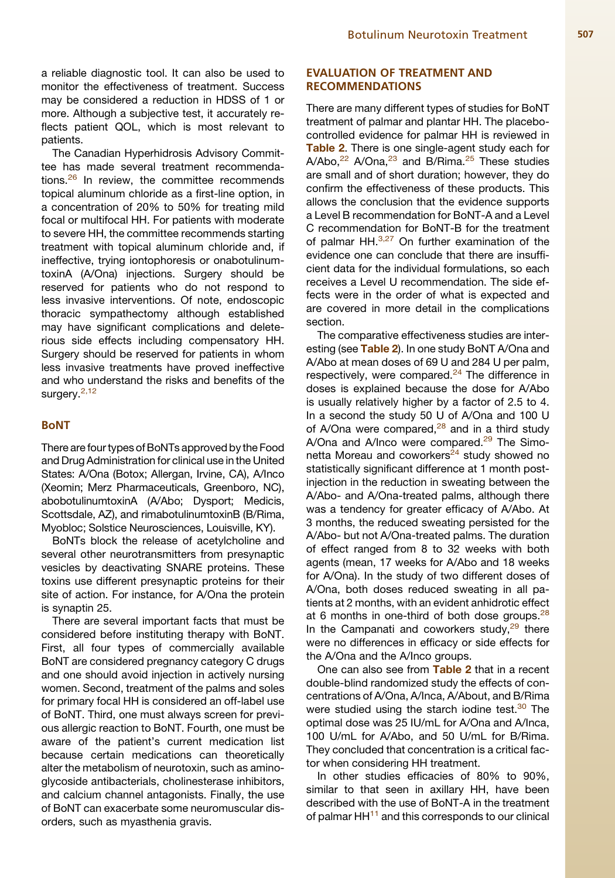a reliable diagnostic tool. It can also be used to monitor the effectiveness of treatment. Success may be considered a reduction in HDSS of 1 or more. Although a subjective test, it accurately reflects patient QOL, which is most relevant to patients.

The Canadian Hyperhidrosis Advisory Committee has made several treatment recommenda-tions.<sup>[26](#page-9-0)</sup> In review, the committee recommends topical aluminum chloride as a first-line option, in a concentration of 20% to 50% for treating mild focal or multifocal HH. For patients with moderate to severe HH, the committee recommends starting treatment with topical aluminum chloride and, if ineffective, trying iontophoresis or onabotulinumtoxinA (A/Ona) injections. Surgery should be reserved for patients who do not respond to less invasive interventions. Of note, endoscopic thoracic sympathectomy although established may have significant complications and deleterious side effects including compensatory HH. Surgery should be reserved for patients in whom less invasive treatments have proved ineffective and who understand the risks and benefits of the surgery.<sup>[2,12](#page-9-0)</sup>

# BoNT

There are four types of BoNTs approved by the Food and Drug Administration for clinical use in the United States: A/Ona (Botox; Allergan, Irvine, CA), A/Inco (Xeomin; Merz Pharmaceuticals, Greenboro, NC), abobotulinumtoxinA (A/Abo; Dysport; Medicis, Scottsdale, AZ), and rimabotulinumtoxinB (B/Rima, Myobloc; Solstice Neurosciences, Louisville, KY).

BoNTs block the release of acetylcholine and several other neurotransmitters from presynaptic vesicles by deactivating SNARE proteins. These toxins use different presynaptic proteins for their site of action. For instance, for A/Ona the protein is synaptin 25.

There are several important facts that must be considered before instituting therapy with BoNT. First, all four types of commercially available BoNT are considered pregnancy category C drugs and one should avoid injection in actively nursing women. Second, treatment of the palms and soles for primary focal HH is considered an off-label use of BoNT. Third, one must always screen for previous allergic reaction to BoNT. Fourth, one must be aware of the patient's current medication list because certain medications can theoretically alter the metabolism of neurotoxin, such as aminoglycoside antibacterials, cholinesterase inhibitors, and calcium channel antagonists. Finally, the use of BoNT can exacerbate some neuromuscular disorders, such as myasthenia gravis.

# EVALUATION OF TREATMENT AND RECOMMENDATIONS

There are many different types of studies for BoNT treatment of palmar and plantar HH. The placebocontrolled evidence for palmar HH is reviewed in [Table 2](#page-3-0). There is one single-agent study each for  $A/Abo<sup>22</sup>$  $A/Abo<sup>22</sup>$  $A/Abo<sup>22</sup>$  A/Ona,<sup>[23](#page-9-0)</sup> and B/Rima.<sup>[25](#page-9-0)</sup> These studies are small and of short duration; however, they do confirm the effectiveness of these products. This allows the conclusion that the evidence supports a Level B recommendation for BoNT-A and a Level C recommendation for BoNT-B for the treatment of palmar  $HH$ .<sup>[3,27](#page-9-0)</sup> On further examination of the evidence one can conclude that there are insufficient data for the individual formulations, so each receives a Level U recommendation. The side effects were in the order of what is expected and are covered in more detail in the complications section.

The comparative effectiveness studies are inter-esting (see [Table 2](#page-3-0)). In one study BoNT A/Ona and A/Abo at mean doses of 69 U and 284 U per palm, respectively, were compared.<sup>[24](#page-9-0)</sup> The difference in doses is explained because the dose for A/Abo is usually relatively higher by a factor of 2.5 to 4. In a second the study 50 U of A/Ona and 100 U of A/Ona were compared, $28$  and in a third study A/Ona and A/Inco were compared.<sup>[29](#page-9-0)</sup> The Simo-netta Moreau and coworkers<sup>[24](#page-9-0)</sup> study showed no statistically significant difference at 1 month postinjection in the reduction in sweating between the A/Abo- and A/Ona-treated palms, although there was a tendency for greater efficacy of A/Abo. At 3 months, the reduced sweating persisted for the A/Abo- but not A/Ona-treated palms. The duration of effect ranged from 8 to 32 weeks with both agents (mean, 17 weeks for A/Abo and 18 weeks for A/Ona). In the study of two different doses of A/Ona, both doses reduced sweating in all patients at 2 months, with an evident anhidrotic effect at 6 months in one-third of both dose groups. $28$ In the Campanati and coworkers study, $29$  there were no differences in efficacy or side effects for the A/Ona and the A/Inco groups.

One can also see from [Table 2](#page-3-0) that in a recent double-blind randomized study the effects of concentrations of A/Ona, A/Inca, A/About, and B/Rima were studied using the starch iodine test. $30$  The optimal dose was 25 IU/mL for A/Ona and A/Inca, 100 U/mL for A/Abo, and 50 U/mL for B/Rima. They concluded that concentration is a critical factor when considering HH treatment.

In other studies efficacies of 80% to 90%, similar to that seen in axillary HH, have been described with the use of BoNT-A in the treatment of palmar  $HH<sup>11</sup>$  $HH<sup>11</sup>$  $HH<sup>11</sup>$  and this corresponds to our clinical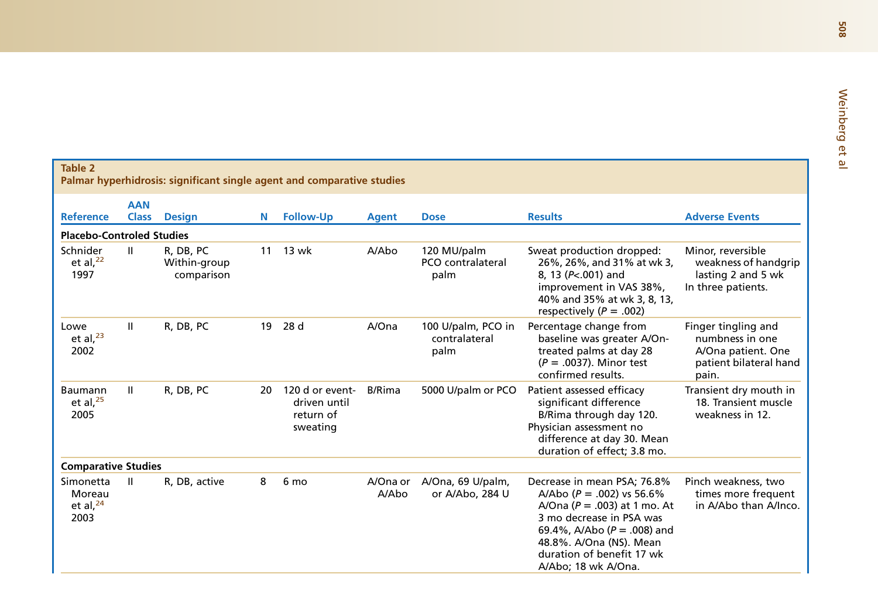<span id="page-3-0"></span>Table 2 Palmar hyperhidrosis: significant single agent and comparative studies

|                                               | <b>AAN</b>    |                                         |    |                                                          |                   |                                             |                                                                                                                                                                                                                                                |                                                                                                 |
|-----------------------------------------------|---------------|-----------------------------------------|----|----------------------------------------------------------|-------------------|---------------------------------------------|------------------------------------------------------------------------------------------------------------------------------------------------------------------------------------------------------------------------------------------------|-------------------------------------------------------------------------------------------------|
| <b>Reference</b>                              | <b>Class</b>  | <b>Design</b>                           | N  | <b>Follow-Up</b>                                         | <b>Agent</b>      | <b>Dose</b>                                 | <b>Results</b>                                                                                                                                                                                                                                 | <b>Adverse Events</b>                                                                           |
| <b>Placebo-Controled Studies</b>              |               |                                         |    |                                                          |                   |                                             |                                                                                                                                                                                                                                                |                                                                                                 |
| Schnider<br>et al, $^{22}$<br>1997            | $\mathbf{II}$ | R, DB, PC<br>Within-group<br>comparison | 11 | $13$ wk                                                  | A/Abo             | 120 MU/palm<br>PCO contralateral<br>palm    | Sweat production dropped:<br>26%, 26%, and 31% at wk 3,<br>8, 13 $(P<.001)$ and<br>improvement in VAS 38%,<br>40% and 35% at wk 3, 8, 13,<br>respectively ( $P = .002$ )                                                                       | Minor, reversible<br>weakness of handgrip<br>lasting 2 and 5 wk<br>In three patients.           |
| Lowe<br>et al, $^{23}$<br>2002                | $\mathbf{H}$  | R, DB, PC                               | 19 | 28 d                                                     | A/Ona             | 100 U/palm, PCO in<br>contralateral<br>palm | Percentage change from<br>baseline was greater A/On-<br>treated palms at day 28<br>$(P = .0037)$ . Minor test<br>confirmed results.                                                                                                            | Finger tingling and<br>numbness in one<br>A/Ona patient. One<br>patient bilateral hand<br>pain. |
| <b>Baumann</b><br>et al, $25$<br>2005         | $\mathbf{H}$  | R, DB, PC                               | 20 | 120 d or event-<br>driven until<br>return of<br>sweating | <b>B/Rima</b>     | 5000 U/palm or PCO                          | Patient assessed efficacy<br>significant difference<br>B/Rima through day 120.<br>Physician assessment no<br>difference at day 30. Mean<br>duration of effect; 3.8 mo.                                                                         | Transient dry mouth in<br>18. Transient muscle<br>weakness in 12.                               |
| <b>Comparative Studies</b>                    |               |                                         |    |                                                          |                   |                                             |                                                                                                                                                                                                                                                |                                                                                                 |
| Simonetta<br>Moreau<br>et al, $^{24}$<br>2003 | Ш             | R, DB, active                           | 8  | 6 mo                                                     | A/Ona or<br>A/Abo | A/Ona, 69 U/palm,<br>or A/Abo, 284 U        | Decrease in mean PSA; 76.8%<br>A/Abo ( $P = .002$ ) vs 56.6%<br>A/Ona ( $P = .003$ ) at 1 mo. At<br>3 mo decrease in PSA was<br>69.4%, A/Abo ( $P = .008$ ) and<br>48.8%. A/Ona (NS). Mean<br>duration of benefit 17 wk<br>A/Abo; 18 wk A/Ona. | Pinch weakness, two<br>times more frequent<br>in A/Abo than A/Inco.                             |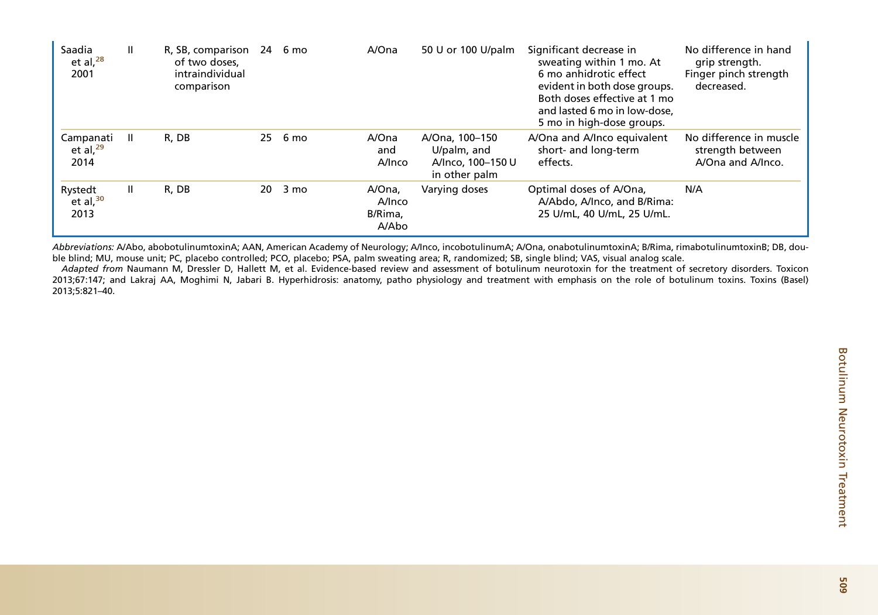| Saadia<br>et al, $^{28}$<br>2001    | Ш.           | R, SB, comparison<br>of two doses.<br>intraindividual<br>comparison | -24 | 6 mo | A/Ona                                | 50 U or 100 U/palm                                                  | Significant decrease in<br>sweating within 1 mo. At<br>6 mo anhidrotic effect<br>evident in both dose groups.<br>Both doses effective at 1 mo<br>and lasted 6 mo in low-dose,<br>5 mo in high-dose groups. | No difference in hand<br>grip strength.<br>Finger pinch strength<br>decreased. |
|-------------------------------------|--------------|---------------------------------------------------------------------|-----|------|--------------------------------------|---------------------------------------------------------------------|------------------------------------------------------------------------------------------------------------------------------------------------------------------------------------------------------------|--------------------------------------------------------------------------------|
| Campanati<br>et al, $^{29}$<br>2014 | $\mathbf{H}$ | R, DB                                                               | 25  | 6 mo | A/Ona<br>and<br>A/Inco               | A/Ona, 100-150<br>U/palm, and<br>A/Inco, 100-150 U<br>in other palm | A/Ona and A/Inco equivalent<br>short- and long-term<br>effects.                                                                                                                                            | No difference in muscle<br>strength between<br>A/Ona and A/Inco.               |
| Rystedt<br>et al, $30$<br>2013      | Ш.           | R, DB                                                               | 20  | 3 mo | A/Ona,<br>A/Inco<br>B/Rima.<br>A/Abo | Varying doses                                                       | Optimal doses of A/Ona,<br>A/Abdo, A/Inco, and B/Rima:<br>25 U/mL, 40 U/mL, 25 U/mL.                                                                                                                       | N/A                                                                            |

Abbreviations: A/Abo, abobotulinumtoxinA; AAN, American Academy of Neurology; A/Inco, incobotulinumA; A/Ona, onabotulinumtoxinA; B/Rima, rimabotulinumtoxinB; DB, double blind; MU, mouse unit; PC, placebo controlled; PCO, placebo; PSA, palm sweating area; R, randomized; SB, single blind; VAS, visual analog scale.

Adapted from Naumann M, Dressler D, Hallett M, et al. Evidence-based review and assessment of botulinum neurotoxin for the treatment of secretory disorders. Toxicon 2013;67:147; and Lakraj AA, Moghimi N, Jabari B. Hyperhidrosis: anatomy, patho physiology and treatment with emphasis on the role of botulinum toxins. Toxins (Basel) 2013;5:821–40.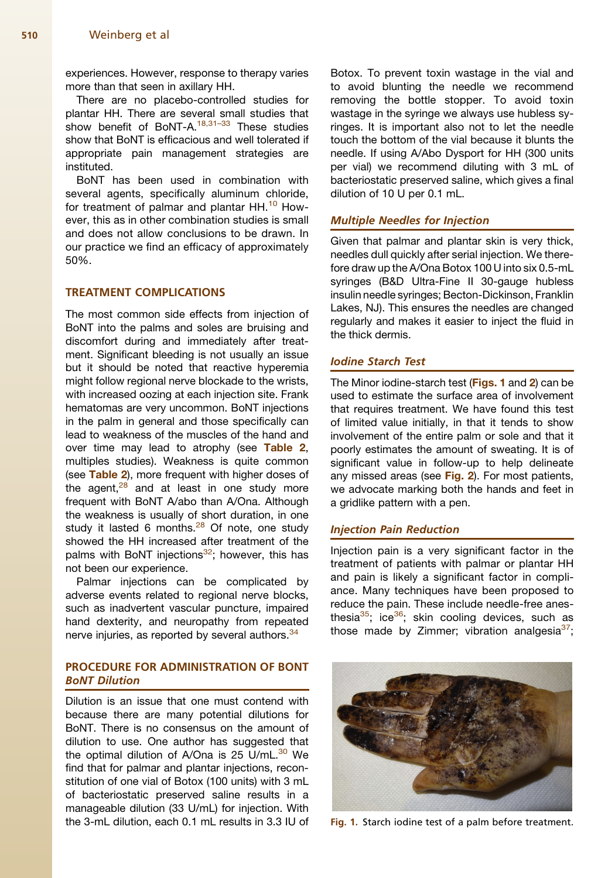experiences. However, response to therapy varies more than that seen in axillary HH.

There are no placebo-controlled studies for plantar HH. There are several small studies that show benefit of BoNT-A. $18,31-33$  These studies show that BoNT is efficacious and well tolerated if appropriate pain management strategies are instituted.

BoNT has been used in combination with several agents, specifically aluminum chloride, for treatment of palmar and plantar  $HH<sup>10</sup>$  $HH<sup>10</sup>$  $HH<sup>10</sup>$  However, this as in other combination studies is small and does not allow conclusions to be drawn. In our practice we find an efficacy of approximately 50%.

#### TREATMENT COMPLICATIONS

The most common side effects from injection of BoNT into the palms and soles are bruising and discomfort during and immediately after treatment. Significant bleeding is not usually an issue but it should be noted that reactive hyperemia might follow regional nerve blockade to the wrists, with increased oozing at each injection site. Frank hematomas are very uncommon. BoNT injections in the palm in general and those specifically can lead to weakness of the muscles of the hand and over time may lead to atrophy (see [Table 2](#page-3-0), multiples studies). Weakness is quite common (see [Table](#page-3-0) [2](#page-9-0)), more frequent with higher doses of the agent, $28$  and at least in one study more frequent with BoNT A/abo than A/Ona. Although the weakness is usually of short duration, in one study it lasted 6 months.<sup>[28](#page-9-0)</sup> Of note, one study showed the HH increased after treatment of the palms with BoNT injections<sup>[32](#page-10-0)</sup>; however, this has not been our experience.

Palmar injections can be complicated by adverse events related to regional nerve blocks, such as inadvertent vascular puncture, impaired hand dexterity, and neuropathy from repeated nerve injuries, as reported by several authors.<sup>[34](#page-10-0)</sup>

# PROCEDURE FOR ADMINISTRATION OF BONT BoNT Dilution

Dilution is an issue that one must contend with because there are many potential dilutions for BoNT. There is no consensus on the amount of dilution to use. One author has suggested that the optimal dilution of A/Ona is 25 U/mL. $30$  We find that for palmar and plantar injections, reconstitution of one vial of Botox (100 units) with 3 mL of bacteriostatic preserved saline results in a manageable dilution (33 U/mL) for injection. With the 3-mL dilution, each 0.1 mL results in 3.3 IU of Botox. To prevent toxin wastage in the vial and to avoid blunting the needle we recommend removing the bottle stopper. To avoid toxin wastage in the syringe we always use hubless syringes. It is important also not to let the needle touch the bottom of the vial because it blunts the needle. If using A/Abo Dysport for HH (300 units per vial) we recommend diluting with 3 mL of bacteriostatic preserved saline, which gives a final dilution of 10 U per 0.1 mL.

#### Multiple Needles for Injection

Given that palmar and plantar skin is very thick, needles dull quickly after serial injection. We therefore draw up the A/Ona Botox 100 U into six 0.5-mL syringes (B&D Ultra-Fine II 30-gauge hubless insulin needle syringes; Becton-Dickinson, Franklin Lakes, NJ). This ensures the needles are changed regularly and makes it easier to inject the fluid in the thick dermis.

#### Iodine Starch Test

The Minor iodine-starch test (Figs. 1 and [2](#page-6-0)) can be used to estimate the surface area of involvement that requires treatment. We have found this test of limited value initially, in that it tends to show involvement of the entire palm or sole and that it poorly estimates the amount of sweating. It is of significant value in follow-up to help delineate any missed areas (see [Fig. 2](#page-6-0)). For most patients, we advocate marking both the hands and feet in a gridlike pattern with a pen.

#### Injection Pain Reduction

Injection pain is a very significant factor in the treatment of patients with palmar or plantar HH and pain is likely a significant factor in compliance. Many techniques have been proposed to reduce the pain. These include needle-free anesthesia $35$ ; ice $36$ ; skin cooling devices, such as those made by Zimmer; vibration analgesia $37$ ;



Fig. 1. Starch iodine test of a palm before treatment.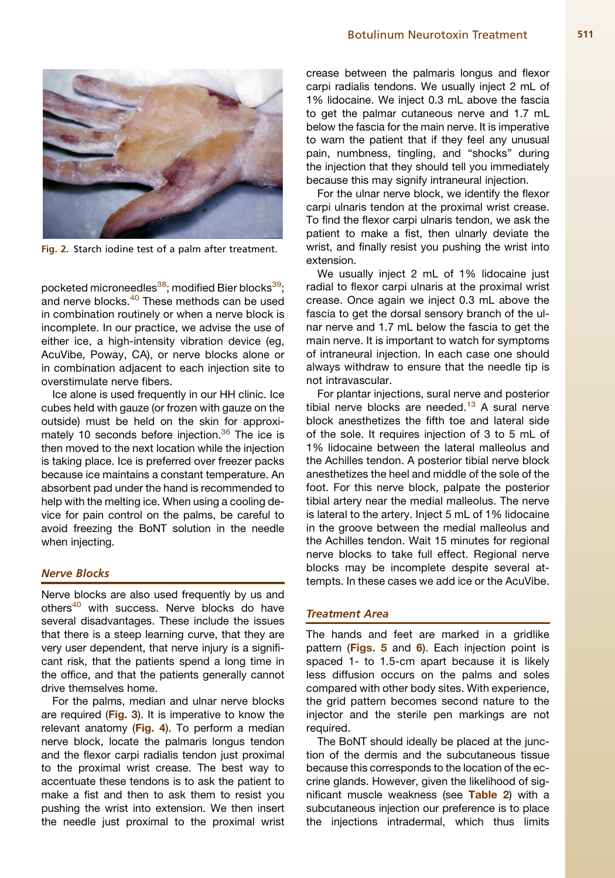<span id="page-6-0"></span>

Fig. 2. Starch iodine test of a palm after treatment.

pocketed microneedles<sup>[38](#page-10-0)</sup>; modified Bier blocks<sup>39</sup>; and nerve blocks.<sup>[40](#page-10-0)</sup> These methods can be used in combination routinely or when a nerve block is incomplete. In our practice, we advise the use of either ice, a high-intensity vibration device (eg, AcuVibe, Poway, CA), or nerve blocks alone or in combination adjacent to each injection site to overstimulate nerve fibers.

Ice alone is used frequently in our HH clinic. Ice cubes held with gauze (or frozen with gauze on the outside) must be held on the skin for approxi-mately 10 seconds before injection.<sup>[36](#page-10-0)</sup> The ice is then moved to the next location while the injection is taking place. Ice is preferred over freezer packs because ice maintains a constant temperature. An absorbent pad under the hand is recommended to help with the melting ice. When using a cooling device for pain control on the palms, be careful to avoid freezing the BoNT solution in the needle when injecting.

### Nerve Blocks

Nerve blocks are also used frequently by us and others<sup>[40](#page-10-0)</sup> with success. Nerve blocks do have several disadvantages. These include the issues that there is a steep learning curve, that they are very user dependent, that nerve injury is a significant risk, that the patients spend a long time in the office, and that the patients generally cannot drive themselves home.

For the palms, median and ulnar nerve blocks are required ([Fig. 3](#page-7-0)). It is imperative to know the relevant anatomy ([Fig. 4](#page-8-0)). To perform a median nerve block, locate the palmaris longus tendon and the flexor carpi radialis tendon just proximal to the proximal wrist crease. The best way to accentuate these tendons is to ask the patient to make a fist and then to ask them to resist you pushing the wrist into extension. We then insert the needle just proximal to the proximal wrist crease between the palmaris longus and flexor carpi radialis tendons. We usually inject 2 mL of 1% lidocaine. We inject 0.3 mL above the fascia to get the palmar cutaneous nerve and 1.7 mL below the fascia for the main nerve. It is imperative to warn the patient that if they feel any unusual pain, numbness, tingling, and "shocks" during the injection that they should tell you immediately because this may signify intraneural injection.

For the ulnar nerve block, we identify the flexor carpi ulnaris tendon at the proximal wrist crease. To find the flexor carpi ulnaris tendon, we ask the patient to make a fist, then ulnarly deviate the wrist, and finally resist you pushing the wrist into extension.

We usually inject 2 mL of 1% lidocaine just radial to flexor carpi ulnaris at the proximal wrist crease. Once again we inject 0.3 mL above the fascia to get the dorsal sensory branch of the ulnar nerve and 1.7 mL below the fascia to get the main nerve. It is important to watch for symptoms of intraneural injection. In each case one should always withdraw to ensure that the needle tip is not intravascular.

For plantar injections, sural nerve and posterior tibial nerve blocks are needed.<sup>[13](#page-9-0)</sup> A sural nerve block anesthetizes the fifth toe and lateral side of the sole. It requires injection of 3 to 5 mL of 1% lidocaine between the lateral malleolus and the Achilles tendon. A posterior tibial nerve block anesthetizes the heel and middle of the sole of the foot. For this nerve block, palpate the posterior tibial artery near the medial malleolus. The nerve is lateral to the artery. Inject 5 mL of 1% lidocaine in the groove between the medial malleolus and the Achilles tendon. Wait 15 minutes for regional nerve blocks to take full effect. Regional nerve blocks may be incomplete despite several attempts. In these cases we add ice or the AcuVibe.

### Treatment Area

The hands and feet are marked in a gridlike pattern (Figs.  $5$  and  $6$ ). Each injection point is spaced 1- to 1.5-cm apart because it is likely less diffusion occurs on the palms and soles compared with other body sites. With experience, the grid pattern becomes second nature to the injector and the sterile pen markings are not required.

The BoNT should ideally be placed at the junction of the dermis and the subcutaneous tissue because this corresponds to the location of the eccrine glands. However, given the likelihood of sig-nificant muscle weakness (see [Table 2](#page-3-0)) with a subcutaneous injection our preference is to place the injections intradermal, which thus limits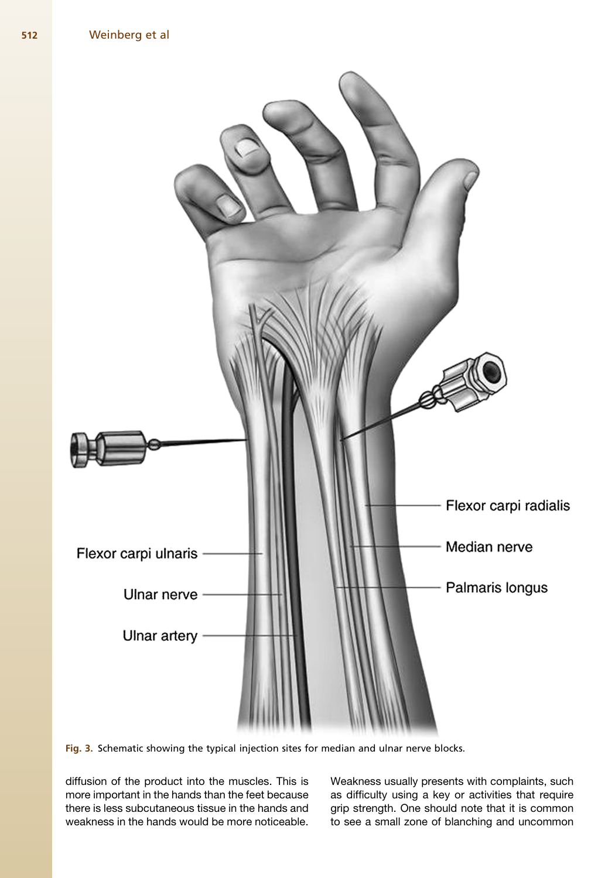<span id="page-7-0"></span>

Fig. 3. Schematic showing the typical injection sites for median and ulnar nerve blocks.

diffusion of the product into the muscles. This is more important in the hands than the feet because there is less subcutaneous tissue in the hands and weakness in the hands would be more noticeable.

Weakness usually presents with complaints, such as difficulty using a key or activities that require grip strength. One should note that it is common to see a small zone of blanching and uncommon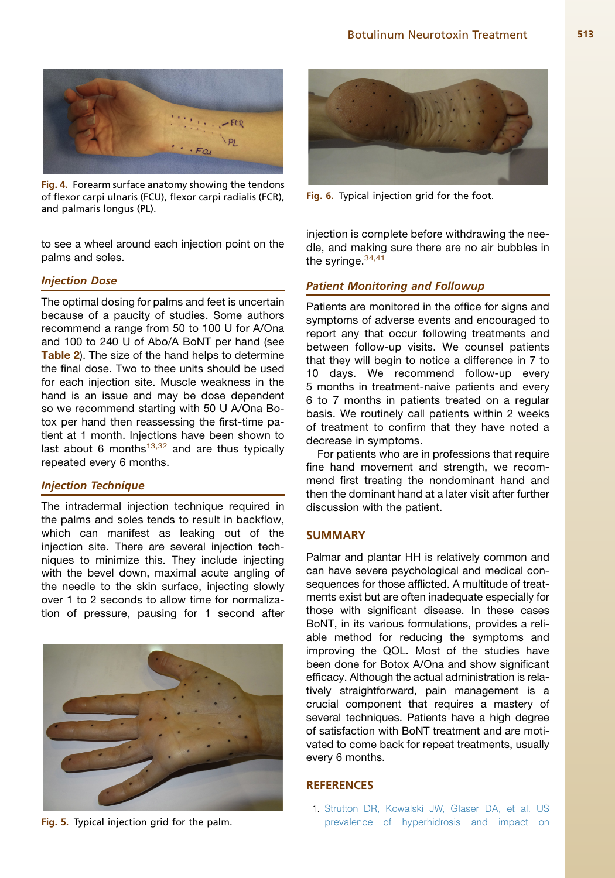<span id="page-8-0"></span>

Fig. 4. Forearm surface anatomy showing the tendons of flexor carpi ulnaris (FCU), flexor carpi radialis (FCR), and palmaris longus (PL).

to see a wheel around each injection point on the palms and soles.

#### Injection Dose

The optimal dosing for palms and feet is uncertain because of a paucity of studies. Some authors recommend a range from 50 to 100 U for A/Ona and 100 to 240 U of Abo/A BoNT per hand (see [Table 2](#page-3-0)). The size of the hand helps to determine the final dose. Two to thee units should be used for each injection site. Muscle weakness in the hand is an issue and may be dose dependent so we recommend starting with 50 U A/Ona Botox per hand then reassessing the first-time patient at 1 month. Injections have been shown to last about 6 months<sup>[13,32](#page-9-0)</sup> and are thus typically repeated every 6 months.

#### Injection Technique

The intradermal injection technique required in the palms and soles tends to result in backflow, which can manifest as leaking out of the injection site. There are several injection techniques to minimize this. They include injecting with the bevel down, maximal acute angling of the needle to the skin surface, injecting slowly over 1 to 2 seconds to allow time for normalization of pressure, pausing for 1 second after



Fig. 5. Typical injection grid for the palm.



Fig. 6. Typical injection grid for the foot.

injection is complete before withdrawing the needle, and making sure there are no air bubbles in the syringe.  $34,41$ 

#### Patient Monitoring and Followup

Patients are monitored in the office for signs and symptoms of adverse events and encouraged to report any that occur following treatments and between follow-up visits. We counsel patients that they will begin to notice a difference in 7 to 10 days. We recommend follow-up every 5 months in treatment-naive patients and every 6 to 7 months in patients treated on a regular basis. We routinely call patients within 2 weeks of treatment to confirm that they have noted a decrease in symptoms.

For patients who are in professions that require fine hand movement and strength, we recommend first treating the nondominant hand and then the dominant hand at a later visit after further discussion with the patient.

#### SUMMARY

Palmar and plantar HH is relatively common and can have severe psychological and medical consequences for those afflicted. A multitude of treatments exist but are often inadequate especially for those with significant disease. In these cases BoNT, in its various formulations, provides a reliable method for reducing the symptoms and improving the QOL. Most of the studies have been done for Botox A/Ona and show significant efficacy. Although the actual administration is relatively straightforward, pain management is a crucial component that requires a mastery of several techniques. Patients have a high degree of satisfaction with BoNT treatment and are motivated to come back for repeat treatments, usually every 6 months.

# **REFERENCES**

1. [Strutton DR, Kowalski JW, Glaser DA, et al. US](http://refhub.elsevier.com/S0733-8635(14)00079-5/sref1) [prevalence of hyperhidrosis and impact on](http://refhub.elsevier.com/S0733-8635(14)00079-5/sref1)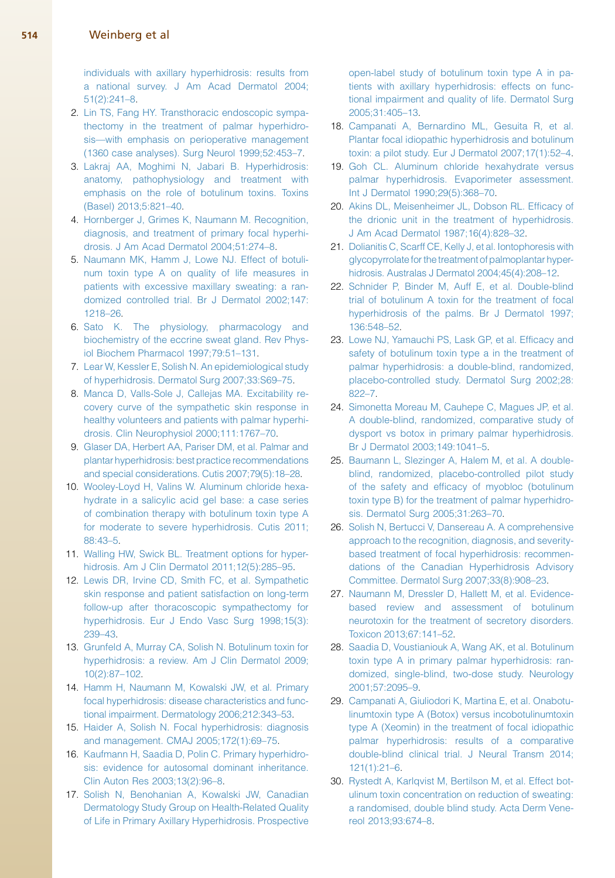#### <span id="page-9-0"></span>514 Weinberg et al

[individuals with axillary hyperhidrosis: results from](http://refhub.elsevier.com/S0733-8635(14)00079-5/sref1) [a national survey. J Am Acad Dermatol 2004;](http://refhub.elsevier.com/S0733-8635(14)00079-5/sref1) [51\(2\):241–8.](http://refhub.elsevier.com/S0733-8635(14)00079-5/sref1)

- 2. [Lin TS, Fang HY. Transthoracic endoscopic sympa](http://refhub.elsevier.com/S0733-8635(14)00079-5/sref2)[thectomy in the treatment of palmar hyperhidro](http://refhub.elsevier.com/S0733-8635(14)00079-5/sref2)[sis—with emphasis on perioperative management](http://refhub.elsevier.com/S0733-8635(14)00079-5/sref2) [\(1360 case analyses\). Surg Neurol 1999;52:453–7.](http://refhub.elsevier.com/S0733-8635(14)00079-5/sref2)
- 3. [Lakraj AA, Moghimi N, Jabari B. Hyperhidrosis:](http://refhub.elsevier.com/S0733-8635(14)00079-5/sref3) [anatomy, pathophysiology and treatment with](http://refhub.elsevier.com/S0733-8635(14)00079-5/sref3) [emphasis on the role of botulinum toxins. Toxins](http://refhub.elsevier.com/S0733-8635(14)00079-5/sref3) [\(Basel\) 2013;5:821–40.](http://refhub.elsevier.com/S0733-8635(14)00079-5/sref3)
- 4. [Hornberger J, Grimes K, Naumann M. Recognition,](http://refhub.elsevier.com/S0733-8635(14)00079-5/sref4) [diagnosis, and treatment of primary focal hyperhi](http://refhub.elsevier.com/S0733-8635(14)00079-5/sref4)[drosis. J Am Acad Dermatol 2004;51:274–8](http://refhub.elsevier.com/S0733-8635(14)00079-5/sref4).
- 5. [Naumann MK, Hamm J, Lowe NJ. Effect of botuli](http://refhub.elsevier.com/S0733-8635(14)00079-5/sref5)[num toxin type A on quality of life measures in](http://refhub.elsevier.com/S0733-8635(14)00079-5/sref5) [patients with excessive maxillary sweating: a ran](http://refhub.elsevier.com/S0733-8635(14)00079-5/sref5)[domized controlled trial. Br J Dermatol 2002;147:](http://refhub.elsevier.com/S0733-8635(14)00079-5/sref5) [1218–26.](http://refhub.elsevier.com/S0733-8635(14)00079-5/sref5)
- 6. [Sato K. The physiology, pharmacology and](http://refhub.elsevier.com/S0733-8635(14)00079-5/sref6) [biochemistry of the eccrine sweat gland. Rev Phys](http://refhub.elsevier.com/S0733-8635(14)00079-5/sref6)[iol Biochem Pharmacol 1997;79:51–131](http://refhub.elsevier.com/S0733-8635(14)00079-5/sref6).
- 7. [Lear W, Kessler E, Solish N. An epidemiological study](http://refhub.elsevier.com/S0733-8635(14)00079-5/sref7) [of hyperhidrosis. Dermatol Surg 2007;33:S69–75.](http://refhub.elsevier.com/S0733-8635(14)00079-5/sref7)
- 8. [Manca D, Valls-Sole J, Callejas MA. Excitability re](http://refhub.elsevier.com/S0733-8635(14)00079-5/sref8)[covery curve of the sympathetic skin response in](http://refhub.elsevier.com/S0733-8635(14)00079-5/sref8) [healthy volunteers and patients with palmar hyperhi](http://refhub.elsevier.com/S0733-8635(14)00079-5/sref8)[drosis. Clin Neurophysiol 2000;111:1767–70.](http://refhub.elsevier.com/S0733-8635(14)00079-5/sref8)
- 9. [Glaser DA, Herbert AA, Pariser DM, et al. Palmar and](http://refhub.elsevier.com/S0733-8635(14)00079-5/sref9) [plantar hyperhidrosis: best practice recommendations](http://refhub.elsevier.com/S0733-8635(14)00079-5/sref9) [and special considerations. Cutis 2007;79\(5\):18–28.](http://refhub.elsevier.com/S0733-8635(14)00079-5/sref9)
- 10. [Wooley-Loyd H, Valins W. Aluminum chloride hexa](http://refhub.elsevier.com/S0733-8635(14)00079-5/sref10)[hydrate in a salicylic acid gel base: a case series](http://refhub.elsevier.com/S0733-8635(14)00079-5/sref10) [of combination therapy with botulinum toxin type A](http://refhub.elsevier.com/S0733-8635(14)00079-5/sref10) [for moderate to severe hyperhidrosis. Cutis 2011;](http://refhub.elsevier.com/S0733-8635(14)00079-5/sref10) [88:43–5.](http://refhub.elsevier.com/S0733-8635(14)00079-5/sref10)
- 11. [Walling HW, Swick BL. Treatment options for hyper](http://refhub.elsevier.com/S0733-8635(14)00079-5/sref11)[hidrosis. Am J Clin Dermatol 2011;12\(5\):285–95.](http://refhub.elsevier.com/S0733-8635(14)00079-5/sref11)
- 12. [Lewis DR, Irvine CD, Smith FC, et al. Sympathetic](http://refhub.elsevier.com/S0733-8635(14)00079-5/sref12) [skin response and patient satisfaction on long-term](http://refhub.elsevier.com/S0733-8635(14)00079-5/sref12) [follow-up after thoracoscopic sympathectomy for](http://refhub.elsevier.com/S0733-8635(14)00079-5/sref12) [hyperhidrosis. Eur J Endo Vasc Surg 1998;15\(3\):](http://refhub.elsevier.com/S0733-8635(14)00079-5/sref12) [239–43.](http://refhub.elsevier.com/S0733-8635(14)00079-5/sref12)
- 13. [Grunfeld A, Murray CA, Solish N. Botulinum toxin for](http://refhub.elsevier.com/S0733-8635(14)00079-5/sref13) [hyperhidrosis: a review. Am J Clin Dermatol 2009;](http://refhub.elsevier.com/S0733-8635(14)00079-5/sref13) [10\(2\):87–102](http://refhub.elsevier.com/S0733-8635(14)00079-5/sref13).
- 14. [Hamm H, Naumann M, Kowalski JW, et al. Primary](http://refhub.elsevier.com/S0733-8635(14)00079-5/sref14) [focal hyperhidrosis: disease characteristics and func](http://refhub.elsevier.com/S0733-8635(14)00079-5/sref14)[tional impairment. Dermatology 2006;212:343–53](http://refhub.elsevier.com/S0733-8635(14)00079-5/sref14).
- 15. [Haider A, Solish N. Focal hyperhidrosis: diagnosis](http://refhub.elsevier.com/S0733-8635(14)00079-5/sref15) [and management. CMAJ 2005;172\(1\):69–75](http://refhub.elsevier.com/S0733-8635(14)00079-5/sref15).
- 16. [Kaufmann H, Saadia D, Polin C. Primary hyperhidro](http://refhub.elsevier.com/S0733-8635(14)00079-5/sref16)[sis: evidence for autosomal dominant inheritance.](http://refhub.elsevier.com/S0733-8635(14)00079-5/sref16) [Clin Auton Res 2003;13\(2\):96–8](http://refhub.elsevier.com/S0733-8635(14)00079-5/sref16).
- 17. [Solish N, Benohanian A, Kowalski JW, Canadian](http://refhub.elsevier.com/S0733-8635(14)00079-5/sref17) [Dermatology Study Group on Health-Related Quality](http://refhub.elsevier.com/S0733-8635(14)00079-5/sref17) [of Life in Primary Axillary Hyperhidrosis. Prospective](http://refhub.elsevier.com/S0733-8635(14)00079-5/sref17)

[open-label study of botulinum toxin type A in pa](http://refhub.elsevier.com/S0733-8635(14)00079-5/sref17)[tients with axillary hyperhidrosis: effects on func](http://refhub.elsevier.com/S0733-8635(14)00079-5/sref17)[tional impairment and quality of life. Dermatol Surg](http://refhub.elsevier.com/S0733-8635(14)00079-5/sref17) [2005;31:405–13.](http://refhub.elsevier.com/S0733-8635(14)00079-5/sref17)

- 18. [Campanati A, Bernardino ML, Gesuita R, et al.](http://refhub.elsevier.com/S0733-8635(14)00079-5/sref18) [Plantar focal idiopathic hyperhidrosis and botulinum](http://refhub.elsevier.com/S0733-8635(14)00079-5/sref18) [toxin: a pilot study. Eur J Dermatol 2007;17\(1\):52–4.](http://refhub.elsevier.com/S0733-8635(14)00079-5/sref18)
- 19. [Goh CL. Aluminum chloride hexahydrate versus](http://refhub.elsevier.com/S0733-8635(14)00079-5/sref19) [palmar hyperhidrosis. Evaporimeter assessment.](http://refhub.elsevier.com/S0733-8635(14)00079-5/sref19) [Int J Dermatol 1990;29\(5\):368–70](http://refhub.elsevier.com/S0733-8635(14)00079-5/sref19).
- 20. [Akins DL, Meisenheimer JL, Dobson RL. Efficacy of](http://refhub.elsevier.com/S0733-8635(14)00079-5/sref20) [the drionic unit in the treatment of hyperhidrosis.](http://refhub.elsevier.com/S0733-8635(14)00079-5/sref20) [J Am Acad Dermatol 1987;16\(4\):828–32.](http://refhub.elsevier.com/S0733-8635(14)00079-5/sref20)
- 21. [Dolianitis C, Scarff CE, Kelly J, et al. Iontophoresis with](http://refhub.elsevier.com/S0733-8635(14)00079-5/sref21) glycopyrrolate for the treatment of palmoplantar hyper[hidrosis. Australas J Dermatol 2004;45\(4\):208–12](http://refhub.elsevier.com/S0733-8635(14)00079-5/sref21).
- 22. [Schnider P, Binder M, Auff E, et al. Double-blind](http://refhub.elsevier.com/S0733-8635(14)00079-5/sref22) [trial of botulinum A toxin for the treatment of focal](http://refhub.elsevier.com/S0733-8635(14)00079-5/sref22) [hyperhidrosis of the palms. Br J Dermatol 1997;](http://refhub.elsevier.com/S0733-8635(14)00079-5/sref22) [136:548–52](http://refhub.elsevier.com/S0733-8635(14)00079-5/sref22).
- 23. [Lowe NJ, Yamauchi PS, Lask GP, et al. Efficacy and](http://refhub.elsevier.com/S0733-8635(14)00079-5/sref23) [safety of botulinum toxin type a in the treatment of](http://refhub.elsevier.com/S0733-8635(14)00079-5/sref23) [palmar hyperhidrosis: a double-blind, randomized,](http://refhub.elsevier.com/S0733-8635(14)00079-5/sref23) [placebo-controlled study. Dermatol Surg 2002;28:](http://refhub.elsevier.com/S0733-8635(14)00079-5/sref23) [822–7](http://refhub.elsevier.com/S0733-8635(14)00079-5/sref23).
- 24. [Simonetta Moreau M, Cauhepe C, Magues JP, et al.](http://refhub.elsevier.com/S0733-8635(14)00079-5/sref24) [A double-blind, randomized, comparative study of](http://refhub.elsevier.com/S0733-8635(14)00079-5/sref24) [dysport vs botox in primary palmar hyperhidrosis.](http://refhub.elsevier.com/S0733-8635(14)00079-5/sref24) [Br J Dermatol 2003;149:1041–5](http://refhub.elsevier.com/S0733-8635(14)00079-5/sref24).
- 25. [Baumann L, Slezinger A, Halem M, et al. A double](http://refhub.elsevier.com/S0733-8635(14)00079-5/sref25)[blind, randomized, placebo-controlled pilot study](http://refhub.elsevier.com/S0733-8635(14)00079-5/sref25) [of the safety and efficacy of myobloc \(botulinum](http://refhub.elsevier.com/S0733-8635(14)00079-5/sref25) [toxin type B\) for the treatment of palmar hyperhidro](http://refhub.elsevier.com/S0733-8635(14)00079-5/sref25)[sis. Dermatol Surg 2005;31:263–70](http://refhub.elsevier.com/S0733-8635(14)00079-5/sref25).
- 26. [Solish N, Bertucci V, Dansereau A. A comprehensive](http://refhub.elsevier.com/S0733-8635(14)00079-5/sref26) [approach to the recognition, diagnosis, and severity](http://refhub.elsevier.com/S0733-8635(14)00079-5/sref26)[based treatment of focal hyperhidrosis: recommen](http://refhub.elsevier.com/S0733-8635(14)00079-5/sref26)[dations of the Canadian Hyperhidrosis Advisory](http://refhub.elsevier.com/S0733-8635(14)00079-5/sref26) [Committee. Dermatol Surg 2007;33\(8\):908–23.](http://refhub.elsevier.com/S0733-8635(14)00079-5/sref26)
- 27. [Naumann M, Dressler D, Hallett M, et al. Evidence](http://refhub.elsevier.com/S0733-8635(14)00079-5/sref27)[based review and assessment of botulinum](http://refhub.elsevier.com/S0733-8635(14)00079-5/sref27) [neurotoxin for the treatment of secretory disorders.](http://refhub.elsevier.com/S0733-8635(14)00079-5/sref27) [Toxicon 2013;67:141–52](http://refhub.elsevier.com/S0733-8635(14)00079-5/sref27).
- 28. [Saadia D, Voustianiouk A, Wang AK, et al. Botulinum](http://refhub.elsevier.com/S0733-8635(14)00079-5/sref28) [toxin type A in primary palmar hyperhidrosis: ran](http://refhub.elsevier.com/S0733-8635(14)00079-5/sref28)[domized, single-blind, two-dose study. Neurology](http://refhub.elsevier.com/S0733-8635(14)00079-5/sref28) [2001;57:2095–9.](http://refhub.elsevier.com/S0733-8635(14)00079-5/sref28)
- 29. [Campanati A, Giuliodori K, Martina E, et al. Onabotu](http://refhub.elsevier.com/S0733-8635(14)00079-5/sref29)[linumtoxin type A \(Botox\) versus incobotulinumtoxin](http://refhub.elsevier.com/S0733-8635(14)00079-5/sref29) [type A \(Xeomin\) in the treatment of focal idiopathic](http://refhub.elsevier.com/S0733-8635(14)00079-5/sref29) [palmar hyperhidrosis: results of a comparative](http://refhub.elsevier.com/S0733-8635(14)00079-5/sref29) [double-blind clinical trial. J Neural Transm 2014;](http://refhub.elsevier.com/S0733-8635(14)00079-5/sref29) [121\(1\):21–6.](http://refhub.elsevier.com/S0733-8635(14)00079-5/sref29)
- 30. [Rystedt A, Karlqvist M, Bertilson M, et al. Effect bot](http://refhub.elsevier.com/S0733-8635(14)00079-5/sref30)[ulinum toxin concentration on reduction of sweating:](http://refhub.elsevier.com/S0733-8635(14)00079-5/sref30) [a randomised, double blind study. Acta Derm Vene](http://refhub.elsevier.com/S0733-8635(14)00079-5/sref30)[reol 2013;93:674–8.](http://refhub.elsevier.com/S0733-8635(14)00079-5/sref30)